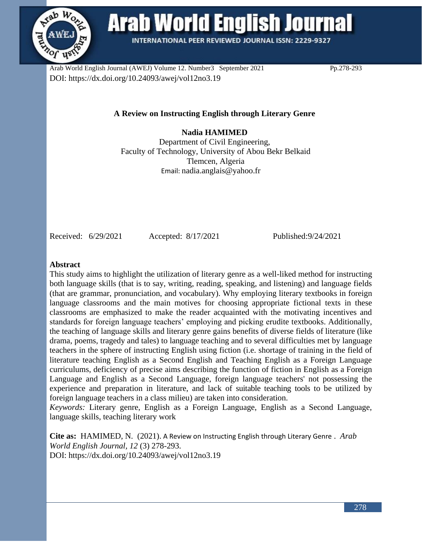

**Arab World English Journal** 

**INTERNATIONAL PEER REVIEWED JOURNAL ISSN: 2229-9327** 

Arab World English Journal (AWEJ) Volume 12. Number3 September 2021 Pp.278-293 DOI: https://dx.doi.org/10.24093/awej/vol12no3.19

# **A Review on Instructing English through Literary Genre**

**Nadia HAMIMED** Department of Civil Engineering, Faculty of Technology, University of Abou Bekr Belkaid Tlemcen, Algeria Email: [nadia.anglais@yahoo.fr](mailto:nadia.anglais@yahoo.fr)

Received: 6/29/2021 Accepted: 8/17/2021 Published:9/24/2021

#### **Abstract**

This study aims to highlight the utilization of literary genre as a well-liked method for instructing both language skills (that is to say, writing, reading, speaking, and listening) and language fields (that are grammar, pronunciation, and vocabulary). Why employing literary textbooks in foreign language classrooms and the main motives for choosing appropriate fictional texts in these classrooms are emphasized to make the reader acquainted with the motivating incentives and standards for foreign language teachers' employing and picking erudite textbooks. Additionally, the teaching of language skills and literary genre gains benefits of diverse fields of literature (like drama, poems, tragedy and tales) to language teaching and to several difficulties met by language teachers in the sphere of instructing English using fiction (i.e. shortage of training in the field of literature teaching English as a Second English and Teaching English as a Foreign Language curriculums, deficiency of precise aims describing the function of fiction in English as a Foreign Language and English as a Second Language, foreign language teachers' not possessing the experience and preparation in literature, and lack of suitable teaching tools to be utilized by foreign language teachers in a class milieu) are taken into consideration.

*Keywords:* Literary genre, English as a Foreign Language, English as a Second Language, language skills, teaching literary work

**Cite as:** HAMIMED, N. (2021). A Review on Instructing English through Literary Genre . *Arab World English Journal, 12* (3) 278-293. DOI: https://dx.doi.org/10.24093/awej/vol12no3.19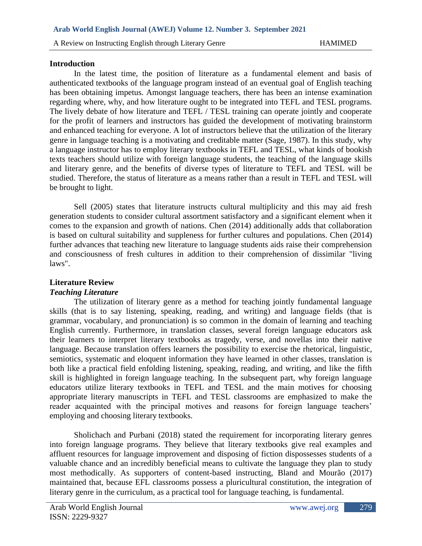#### **Introduction**

In the latest time, the position of literature as a fundamental element and basis of authenticated textbooks of the language program instead of an eventual goal of English teaching has been obtaining impetus. Amongst language teachers, there has been an intense examination regarding where, why, and how literature ought to be integrated into TEFL and TESL programs. The lively debate of how literature and TEFL / TESL training can operate jointly and cooperate for the profit of learners and instructors has guided the development of motivating brainstorm and enhanced teaching for everyone. A lot of instructors believe that the utilization of the literary genre in language teaching is a motivating and creditable matter (Sage, 1987). In this study, why a language instructor has to employ literary textbooks in TEFL and TESL, what kinds of bookish texts teachers should utilize with foreign language students, the teaching of the language skills and literary genre, and the benefits of diverse types of literature to TEFL and TESL will be studied. Therefore, the status of literature as a means rather than a result in TEFL and TESL will be brought to light.

Sell (2005) states that literature instructs cultural multiplicity and this may aid fresh generation students to consider cultural assortment satisfactory and a significant element when it comes to the expansion and growth of nations. Chen (2014) additionally adds that collaboration is based on cultural suitability and suppleness for further cultures and populations. Chen (2014) further advances that teaching new literature to language students aids raise their comprehension and consciousness of fresh cultures in addition to their comprehension of dissimilar "living laws".

# **Literature Review**

## *Teaching Literature*

The utilization of literary genre as a method for teaching jointly fundamental language skills (that is to say listening, speaking, reading, and writing) and language fields (that is grammar, vocabulary, and pronunciation) is so common in the domain of learning and teaching English currently. Furthermore, in translation classes, several foreign language educators ask their learners to interpret literary textbooks as tragedy, verse, and novellas into their native language. Because translation offers learners the possibility to exercise the rhetorical, linguistic, semiotics, systematic and eloquent information they have learned in other classes, translation is both like a practical field enfolding listening, speaking, reading, and writing, and like the fifth skill is highlighted in foreign language teaching. In the subsequent part, why foreign language educators utilize literary textbooks in TEFL and TESL and the main motives for choosing appropriate literary manuscripts in TEFL and TESL classrooms are emphasized to make the reader acquainted with the principal motives and reasons for foreign language teachers' employing and choosing literary textbooks.

Sholichach and Purbani (2018) stated the requirement for incorporating literary genres into foreign language programs. They believe that literary textbooks give real examples and affluent resources for language improvement and disposing of fiction dispossesses students of a valuable chance and an incredibly beneficial means to cultivate the language they plan to study most methodically. As supporters of content-based instructing, Bland and Mourão (2017) maintained that, because EFL classrooms possess a pluricultural constitution, the integration of literary genre in the curriculum, as a practical tool for language teaching, is fundamental.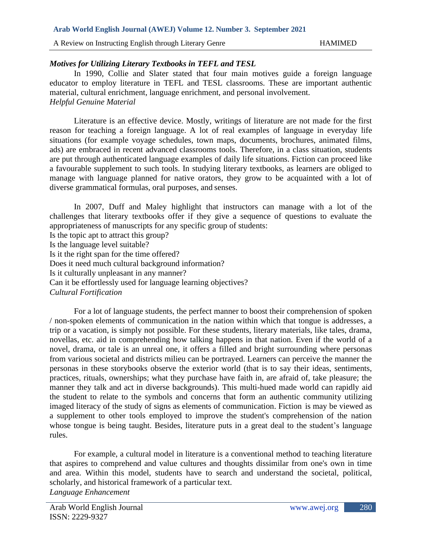A Review on Instructing English through Literary Genre HAMIMED

## *Motives for Utilizing Literary Textbooks in TEFL and TESL*

In 1990, Collie and Slater stated that four main motives guide a foreign language educator to employ literature in TEFL and TESL classrooms. These are important authentic material, cultural enrichment, language enrichment, and personal involvement. *Helpful Genuine Material*

Literature is an effective device. Mostly, writings of literature are not made for the first reason for teaching a foreign language. A lot of real examples of language in everyday life situations (for example voyage schedules, town maps, documents, brochures, animated films, ads) are embraced in recent advanced classrooms tools. Therefore, in a class situation, students are put through authenticated language examples of daily life situations. Fiction can proceed like a favourable supplement to such tools. In studying literary textbooks, as learners are obliged to manage with language planned for native orators, they grow to be acquainted with a lot of diverse grammatical formulas, oral purposes, and senses.

In 2007, Duff and Maley highlight that instructors can manage with a lot of the challenges that literary textbooks offer if they give a sequence of questions to evaluate the appropriateness of manuscripts for any specific group of students: Is the topic apt to attract this group? Is the language level suitable? Is it the right span for the time offered? Does it need much cultural background information? Is it culturally unpleasant in any manner? Can it be effortlessly used for language learning objectives? *Cultural Fortification*

For a lot of language students, the perfect manner to boost their comprehension of spoken / non-spoken elements of communication in the nation within which that tongue is addresses, a trip or a vacation, is simply not possible. For these students, literary materials, like tales, drama, novellas, etc. aid in comprehending how talking happens in that nation. Even if the world of a novel, drama, or tale is an unreal one, it offers a filled and bright surrounding where personas from various societal and districts milieu can be portrayed. Learners can perceive the manner the personas in these storybooks observe the exterior world (that is to say their ideas, sentiments, practices, rituals, ownerships; what they purchase have faith in, are afraid of, take pleasure; the manner they talk and act in diverse backgrounds). This multi-hued made world can rapidly aid the student to relate to the symbols and concerns that form an authentic community utilizing imaged literacy of the study of signs as elements of communication. Fiction is may be viewed as a supplement to other tools employed to improve the student's comprehension of the nation whose tongue is being taught. Besides, literature puts in a great deal to the student's language rules.

For example, a cultural model in literature is a conventional method to teaching literature that aspires to comprehend and value cultures and thoughts dissimilar from one's own in time and area. Within this model, students have to search and understand the societal, political, scholarly, and historical framework of a particular text.

*Language Enhancement*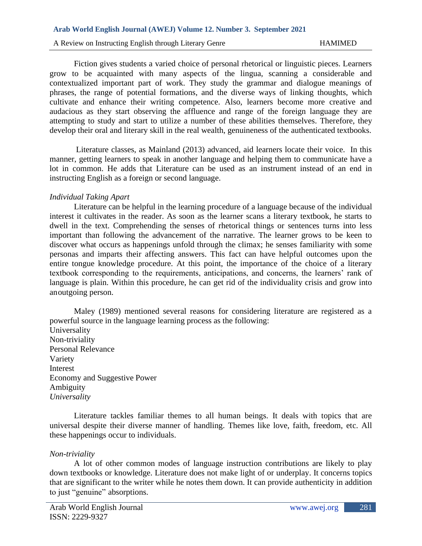#### A Review on Instructing English through Literary Genre HAMIMED

Fiction gives students a varied choice of personal rhetorical or linguistic pieces. Learners grow to be acquainted with many aspects of the lingua, scanning a considerable and contextualized important part of work. They study the grammar and dialogue meanings of phrases, the range of potential formations, and the diverse ways of linking thoughts, which cultivate and enhance their writing competence. Also, learners become more creative and audacious as they start observing the affluence and range of the foreign language they are attempting to study and start to utilize a number of these abilities themselves. Therefore, they develop their oral and literary skill in the real wealth, genuineness of the authenticated textbooks.

Literature classes, as Mainland (2013) advanced, aid learners locate their voice. In this manner, getting learners to speak in another language and helping them to communicate have a lot in common. He adds that Literature can be used as an instrument instead of an end in instructing English as a foreign or second language.

#### *Individual Taking Apart*

Literature can be helpful in the learning procedure of a language because of the individual interest it cultivates in the reader. As soon as the learner scans a literary textbook, he starts to dwell in the text. Comprehending the senses of rhetorical things or sentences turns into less important than following the advancement of the narrative. The learner grows to be keen to discover what occurs as happenings unfold through the climax; he senses familiarity with some personas and imparts their affecting answers. This fact can have helpful outcomes upon the entire tongue knowledge procedure. At this point, the importance of the choice of a literary textbook corresponding to the requirements, anticipations, and concerns, the learners' rank of language is plain. Within this procedure, he can get rid of the individuality crisis and grow into anoutgoing person.

Maley (1989) mentioned several reasons for considering literature are registered as a powerful source in the language learning process as the following: Universality Non-triviality Personal Relevance Variety Interest Economy and Suggestive Power Ambiguity *Universality*

Literature tackles familiar themes to all human beings. It deals with topics that are universal despite their diverse manner of handling. Themes like love, faith, freedom, etc. All these happenings occur to individuals.

#### *Non-triviality*

A lot of other common modes of language instruction contributions are likely to play down textbooks or knowledge. Literature does not make light of or underplay. It concerns topics that are significant to the writer while he notes them down. It can provide authenticity in addition to just "genuine" absorptions.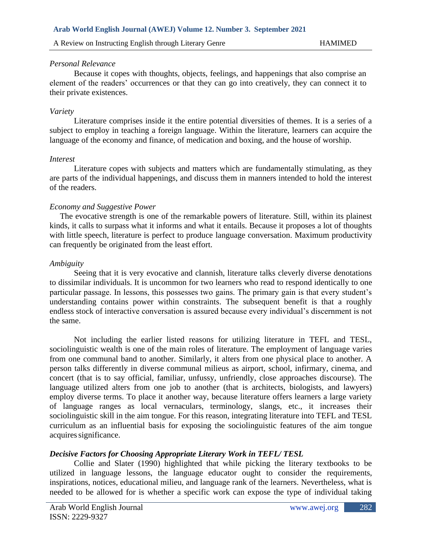## *Personal Relevance*

Because it copes with thoughts, objects, feelings, and happenings that also comprise an element of the readers' occurrences or that they can go into creatively, they can connect it to their private existences.

## *Variety*

Literature comprises inside it the entire potential diversities of themes. It is a series of a subject to employ in teaching a foreign language. Within the literature, learners can acquire the language of the economy and finance, of medication and boxing, and the house of worship.

### *Interest*

Literature copes with subjects and matters which are fundamentally stimulating, as they are parts of the individual happenings, and discuss them in manners intended to hold the interest of the readers.

## *Economy and Suggestive Power*

 The evocative strength is one of the remarkable powers of literature. Still, within its plainest kinds, it calls to surpass what it informs and what it entails. Because it proposes a lot of thoughts with little speech, literature is perfect to produce language conversation. Maximum productivity can frequently be originated from the least effort.

### *Ambiguity*

Seeing that it is very evocative and clannish, literature talks cleverly diverse denotations to dissimilar individuals. It is uncommon for two learners who read to respond identically to one particular passage. In lessons, this possesses two gains. The primary gain is that every student's understanding contains power within constraints. The subsequent benefit is that a roughly endless stock of interactive conversation is assured because every individual's discernment is not the same.

Not including the earlier listed reasons for utilizing literature in TEFL and TESL, sociolinguistic wealth is one of the main roles of literature. The employment of language varies from one communal band to another. Similarly, it alters from one physical place to another. A person talks differently in diverse communal milieus as airport, school, infirmary, cinema, and concert (that is to say official, familiar, unfussy, unfriendly, close approaches discourse). The language utilized alters from one job to another (that is architects, biologists, and lawyers) employ diverse terms. To place it another way, because literature offers learners a large variety of language ranges as local vernaculars, terminology, slangs, etc., it increases their sociolinguistic skill in the aim tongue. For this reason, integrating literature into TEFL and TESL curriculum as an influential basis for exposing the sociolinguistic features of the aim tongue acquires significance.

## *Decisive Factors for Choosing Appropriate Literary Work in TEFL/ TESL*

Collie and Slater (1990) highlighted that while picking the literary textbooks to be utilized in language lessons, the language educator ought to consider the requirements, inspirations, notices, educational milieu, and language rank of the learners. Nevertheless, what is needed to be allowed for is whether a specific work can expose the type of individual taking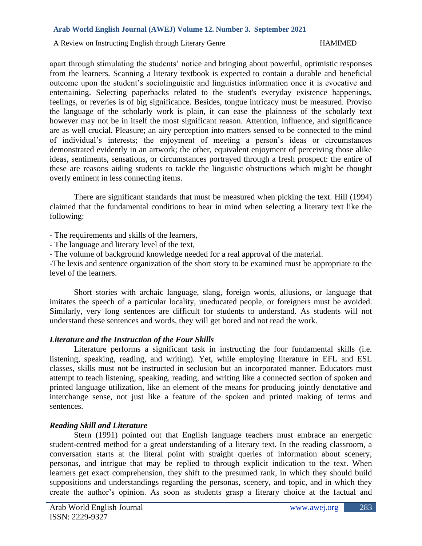apart through stimulating the students' notice and bringing about powerful, optimistic responses from the learners. Scanning a literary textbook is expected to contain a durable and beneficial outcome upon the student's sociolinguistic and linguistics information once it is evocative and entertaining. Selecting paperbacks related to the student's everyday existence happenings, feelings, or reveries is of big significance. Besides, tongue intricacy must be measured. Proviso the language of the scholarly work is plain, it can ease the plainness of the scholarly text however may not be in itself the most significant reason. Attention, influence, and significance are as well crucial. Pleasure; an airy perception into matters sensed to be connected to the mind of individual's interests; the enjoyment of meeting a person's ideas or circumstances demonstrated evidently in an artwork; the other, equivalent enjoyment of perceiving those alike ideas, sentiments, sensations, or circumstances portrayed through a fresh prospect: the entire of these are reasons aiding students to tackle the linguistic obstructions which might be thought overly eminent in less connecting items.

There are significant standards that must be measured when picking the text. Hill (1994) claimed that the fundamental conditions to bear in mind when selecting a literary text like the following:

- The requirements and skills of the learners,

- The language and literary level of the text,

- The volume of background knowledge needed for a real approval of the material.

-The lexis and sentence organization of the short story to be examined must be appropriate to the level of the learners.

Short stories with archaic language, slang, foreign words, allusions, or language that imitates the speech of a particular locality, uneducated people, or foreigners must be avoided. Similarly, very long sentences are difficult for students to understand. As students will not understand these sentences and words, they will get bored and not read the work.

## *Literature and the Instruction of the Four Skills*

Literature performs a significant task in instructing the four fundamental skills (i.e. listening, speaking, reading, and writing). Yet, while employing literature in EFL and ESL classes, skills must not be instructed in seclusion but an incorporated manner. Educators must attempt to teach listening, speaking, reading, and writing like a connected section of spoken and printed language utilization, like an element of the means for producing jointly denotative and interchange sense, not just like a feature of the spoken and printed making of terms and sentences.

## *Reading Skill and Literature*

Stern (1991) pointed out that English language teachers must embrace an energetic student-centred method for a great understanding of a literary text. In the reading classroom, a conversation starts at the literal point with straight queries of information about scenery, personas, and intrigue that may be replied to through explicit indication to the text. When learners get exact comprehension, they shift to the presumed rank, in which they should build suppositions and understandings regarding the personas, scenery, and topic, and in which they create the author's opinion. As soon as students grasp a literary choice at the factual and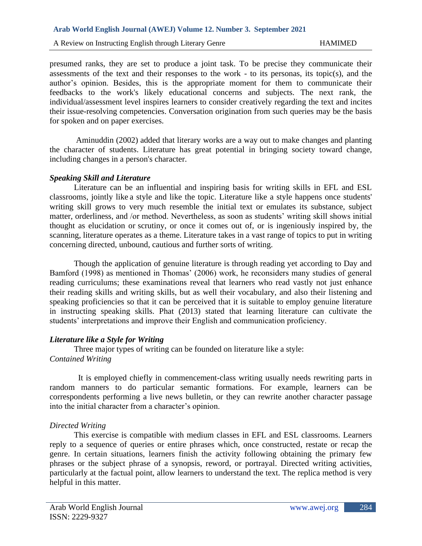presumed ranks, they are set to produce a joint task. To be precise they communicate their assessments of the text and their responses to the work - to its personas, its topic(s), and the author's opinion. Besides, this is the appropriate moment for them to communicate their feedbacks to the work's likely educational concerns and subjects. The next rank, the individual/assessment level inspires learners to consider creatively regarding the text and incites their issue-resolving competencies. Conversation origination from such queries may be the basis for spoken and on paper exercises.

Aminuddin (2002) added that literary works are a way out to make changes and planting the character of students. Literature has great potential in bringing society toward change, including changes in a person's character.

#### *Speaking Skill and Literature*

Literature can be an influential and inspiring basis for writing skills in EFL and ESL classrooms, jointly like a style and like the topic. Literature like a style happens once students' writing skill grows to very much resemble the initial text or emulates its substance, subject matter, orderliness, and /or method. Nevertheless, as soon as students' writing skill shows initial thought as elucidation or scrutiny, or once it comes out of, or is ingeniously inspired by, the scanning, literature operates as a theme. Literature takes in a vast range of topics to put in writing concerning directed, unbound, cautious and further sorts of writing.

Though the application of genuine literature is through reading yet according to Day and Bamford (1998) as mentioned in Thomas' (2006) work, he reconsiders many studies of general reading curriculums; these examinations reveal that learners who read vastly not just enhance their reading skills and writing skills, but as well their vocabulary, and also their listening and speaking proficiencies so that it can be perceived that it is suitable to employ genuine literature in instructing speaking skills. Phat (2013) stated that learning literature can cultivate the students' interpretations and improve their English and communication proficiency.

## *Literature like a Style for Writing*

Three major types of writing can be founded on literature like a style: *Contained Writing*

It is employed chiefly in commencement-class writing usually needs rewriting parts in random manners to do particular semantic formations. For example, learners can be correspondents performing a live news bulletin, or they can rewrite another character passage into the initial character from a character's opinion.

## *Directed Writing*

This exercise is compatible with medium classes in EFL and ESL classrooms. Learners reply to a sequence of queries or entire phrases which, once constructed, restate or recap the genre. In certain situations, learners finish the activity following obtaining the primary few phrases or the subject phrase of a synopsis, reword, or portrayal. Directed writing activities, particularly at the factual point, allow learners to understand the text. The replica method is very helpful in this matter.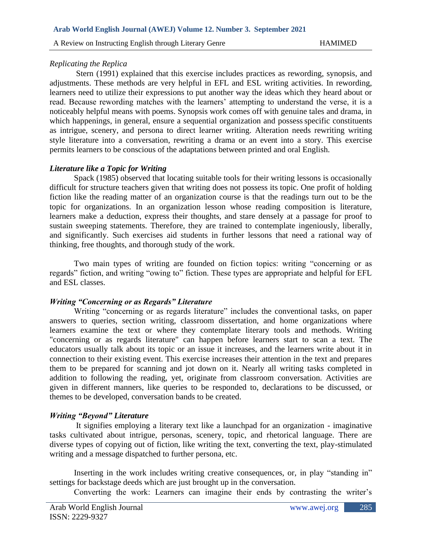## *Replicating the Replica*

Stern (1991) explained that this exercise includes practices as rewording, synopsis, and adjustments. These methods are very helpful in EFL and ESL writing activities. In rewording, learners need to utilize their expressions to put another way the ideas which they heard about or read. Because rewording matches with the learners' attempting to understand the verse, it is a noticeably helpful means with poems. Synopsis work comes off with genuine tales and drama, in which happenings, in general, ensure a sequential organization and possess specific constituents as intrigue, scenery, and persona to direct learner writing. Alteration needs rewriting writing style literature into a conversation, rewriting a drama or an event into a story. This exercise permits learners to be conscious of the adaptations between printed and oral English.

## *Literature like a Topic for Writing*

Spack (1985) observed that locating suitable tools for their writing lessons is occasionally difficult for structure teachers given that writing does not possess its topic. One profit of holding fiction like the reading matter of an organization course is that the readings turn out to be the topic for organizations. In an organization lesson whose reading composition is literature, learners make a deduction, express their thoughts, and stare densely at a passage for proof to sustain sweeping statements. Therefore, they are trained to contemplate ingeniously, liberally, and significantly. Such exercises aid students in further lessons that need a rational way of thinking, free thoughts, and thorough study of the work.

Two main types of writing are founded on fiction topics: writing "concerning or as regards" fiction, and writing "owing to" fiction. These types are appropriate and helpful for EFL and ESL classes.

## *Writing "Concerning or as Regards" Literature*

Writing "concerning or as regards literature" includes the conventional tasks, on paper answers to queries, section writing, classroom dissertation, and home organizations where learners examine the text or where they contemplate literary tools and methods. Writing "concerning or as regards literature" can happen before learners start to scan a text. The educators usually talk about its topic or an issue it increases, and the learners write about it in connection to their existing event. This exercise increases their attention in the text and prepares them to be prepared for scanning and jot down on it. Nearly all writing tasks completed in addition to following the reading, yet, originate from classroom conversation. Activities are given in different manners, like queries to be responded to, declarations to be discussed, or themes to be developed, conversation bands to be created.

# *Writing "Beyond" Literature*

It signifies employing a literary text like a launchpad for an organization - imaginative tasks cultivated about intrigue, personas, scenery, topic, and rhetorical language. There are diverse types of copying out of fiction, like writing the text, converting the text, play-stimulated writing and a message dispatched to further persona, etc.

Inserting in the work includes writing creative consequences, or, in play "standing in" settings for backstage deeds which are just brought up in the conversation.

Converting the work: Learners can imagine their ends by contrasting the writer's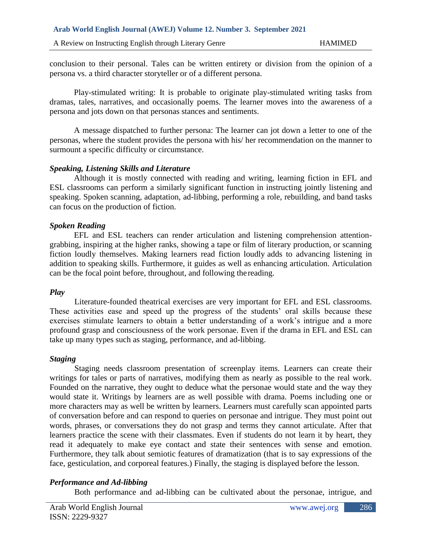conclusion to their personal. Tales can be written entirety or division from the opinion of a persona vs. a third character storyteller or of a different persona.

Play-stimulated writing: It is probable to originate play-stimulated writing tasks from dramas, tales, narratives, and occasionally poems. The learner moves into the awareness of a persona and jots down on that personas stances and sentiments.

A message dispatched to further persona: The learner can jot down a letter to one of the personas, where the student provides the persona with his/ her recommendation on the manner to surmount a specific difficulty or circumstance.

### *Speaking, Listening Skills and Literature*

Although it is mostly connected with reading and writing, learning fiction in EFL and ESL classrooms can perform a similarly significant function in instructing jointly listening and speaking. Spoken scanning, adaptation, ad-libbing, performing a role, rebuilding, and band tasks can focus on the production of fiction.

### *Spoken Reading*

EFL and ESL teachers can render articulation and listening comprehension attentiongrabbing, inspiring at the higher ranks, showing a tape or film of literary production, or scanning fiction loudly themselves. Making learners read fiction loudly adds to advancing listening in addition to speaking skills. Furthermore, it guides as well as enhancing articulation. Articulation can be the focal point before, throughout, and following thereading.

#### *Play*

 Literature-founded theatrical exercises are very important for EFL and ESL classrooms. These activities ease and speed up the progress of the students' oral skills because these exercises stimulate learners to obtain a better understanding of a work's intrigue and a more profound grasp and consciousness of the work personae. Even if the drama in EFL and ESL can take up many types such as staging, performance, and ad-libbing.

#### *Staging*

 Staging needs classroom presentation of screenplay items. Learners can create their writings for tales or parts of narratives, modifying them as nearly as possible to the real work. Founded on the narrative, they ought to deduce what the personae would state and the way they would state it. Writings by learners are as well possible with drama. Poems including one or more characters may as well be written by learners. Learners must carefully scan appointed parts of conversation before and can respond to queries on personae and intrigue. They must point out words, phrases, or conversations they do not grasp and terms they cannot articulate. After that learners practice the scene with their classmates. Even if students do not learn it by heart, they read it adequately to make eye contact and state their sentences with sense and emotion. Furthermore, they talk about semiotic features of dramatization (that is to say expressions of the face, gesticulation, and corporeal features.) Finally, the staging is displayed before the lesson.

## *Performance and Ad-libbing*

Both performance and ad-libbing can be cultivated about the personae, intrigue, and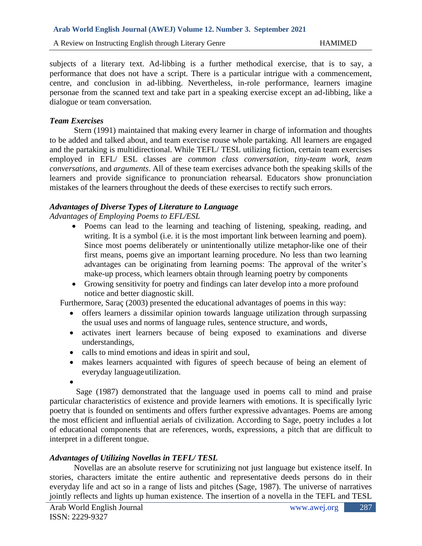subjects of a literary text. Ad-libbing is a further methodical exercise, that is to say, a performance that does not have a script. There is a particular intrigue with a commencement, centre, and conclusion in ad-libbing. Nevertheless, in-role performance, learners imagine personae from the scanned text and take part in a speaking exercise except an ad-libbing, like a dialogue or team conversation.

#### *Team Exercises*

Stern (1991) maintained that making every learner in charge of information and thoughts to be added and talked about, and team exercise rouse whole partaking. All learners are engaged and the partaking is multidirectional. While TEFL/ TESL utilizing fiction, certain team exercises employed in EFL/ ESL classes are *common class conversation, tiny-team work, team conversations,* and *arguments*. All of these team exercises advance both the speaking skills of the learners and provide significance to pronunciation rehearsal. Educators show pronunciation mistakes of the learners throughout the deeds of these exercises to rectify such errors.

### *Advantages of Diverse Types of Literature to Language*

*Advantages of Employing Poems to EFL/ESL*

- Poems can lead to the learning and teaching of listening, speaking, reading, and writing. It is a symbol (i.e. it is the most important link between learning and poem). Since most poems deliberately or unintentionally utilize metaphor-like one of their first means, poems give an important learning procedure. No less than two learning advantages can be originating from learning poems: The approval of the writer's make-up process, which learners obtain through learning poetry by components
- Growing sensitivity for poetry and findings can later develop into a more profound notice and better diagnostic skill.

Furthermore, Saraç (2003) presented the educational advantages of poems in this way:

- offers learners a dissimilar opinion towards language utilization through surpassing the usual uses and norms of language rules, sentence structure, and words,
- activates inert learners because of being exposed to examinations and diverse understandings,
- calls to mind emotions and ideas in spirit and soul,
- makes learners acquainted with figures of speech because of being an element of everyday languageutilization.

•

Sage (1987) demonstrated that the language used in poems call to mind and praise particular characteristics of existence and provide learners with emotions. It is specifically lyric poetry that is founded on sentiments and offers further expressive advantages. Poems are among the most efficient and influential aerials of civilization. According to Sage, poetry includes a lot of educational components that are references, words, expressions, a pitch that are difficult to interpret in a different tongue.

#### *Advantages of Utilizing Novellas in TEFL/ TESL*

Novellas are an absolute reserve for scrutinizing not just language but existence itself. In stories, characters imitate the entire authentic and representative deeds persons do in their everyday life and act so in a range of lists and pitches (Sage, 1987). The universe of narratives jointly reflects and lights up human existence. The insertion of a novella in the TEFL and TESL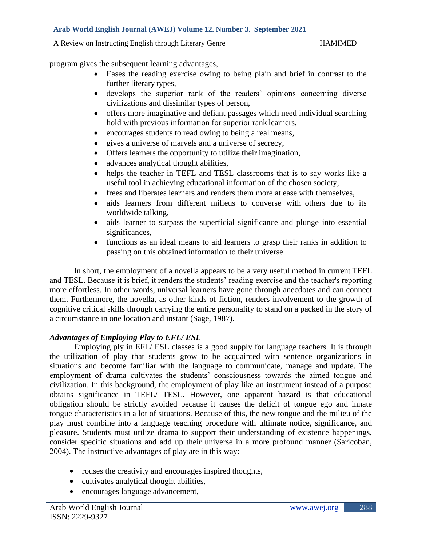program gives the subsequent learning advantages,

- Eases the reading exercise owing to being plain and brief in contrast to the further literary types,
- develops the superior rank of the readers' opinions concerning diverse civilizations and dissimilar types of person,
- offers more imaginative and defiant passages which need individual searching hold with previous information for superior rank learners,
- encourages students to read owing to being a real means,
- gives a universe of marvels and a universe of secrecy,
- Offers learners the opportunity to utilize their imagination,
- advances analytical thought abilities,
- helps the teacher in TEFL and TESL classrooms that is to say works like a useful tool in achieving educational information of the chosen society,
- frees and liberates learners and renders them more at ease with themselves,
- aids learners from different milieus to converse with others due to its worldwide talking,
- aids learner to surpass the superficial significance and plunge into essential significances,
- functions as an ideal means to aid learners to grasp their ranks in addition to passing on this obtained information to their universe.

In short, the employment of a novella appears to be a very useful method in current TEFL and TESL. Because it is brief, it renders the students' reading exercise and the teacher's reporting more effortless. In other words, universal learners have gone through anecdotes and can connect them. Furthermore, the novella, as other kinds of fiction, renders involvement to the growth of cognitive critical skills through carrying the entire personality to stand on a packed in the story of a circumstance in one location and instant (Sage, 1987).

## *Advantages of Employing Play to EFL/ ESL*

Employing ply in EFL/ ESL classes is a good supply for language teachers. It is through the utilization of play that students grow to be acquainted with sentence organizations in situations and become familiar with the language to communicate, manage and update. The employment of drama cultivates the students' consciousness towards the aimed tongue and civilization. In this background, the employment of play like an instrument instead of a purpose obtains significance in TEFL/ TESL. However, one apparent hazard is that educational obligation should be strictly avoided because it causes the deficit of tongue ego and innate tongue characteristics in a lot of situations. Because of this, the new tongue and the milieu of the play must combine into a language teaching procedure with ultimate notice, significance, and pleasure. Students must utilize drama to support their understanding of existence happenings, consider specific situations and add up their universe in a more profound manner (Saricoban, 2004). The instructive advantages of play are in this way:

- rouses the creativity and encourages inspired thoughts,
- cultivates analytical thought abilities,
- encourages language advancement,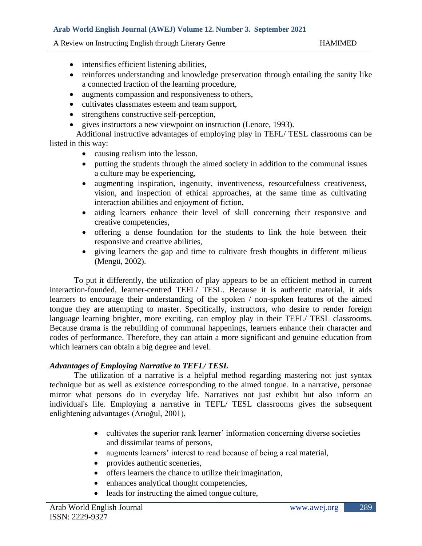- intensifies efficient listening abilities,
- reinforces understanding and knowledge preservation through entailing the sanity like a connected fraction of the learning procedure,
- augments compassion and responsiveness to others,
- cultivates classmates esteem and team support,
- strengthens constructive self-perception,
- gives instructors a new viewpoint on instruction (Lenore, 1993).

Additional instructive advantages of employing play in TEFL/ TESL classrooms can be listed in this way:

- causing realism into the lesson,
- putting the students through the aimed society in addition to the communal issues a culture may be experiencing,
- augmenting inspiration, ingenuity, inventiveness, resourcefulness creativeness, vision, and inspection of ethical approaches, at the same time as cultivating interaction abilities and enjoyment of fiction,
- aiding learners enhance their level of skill concerning their responsive and creative competencies,
- offering a dense foundation for the students to link the hole between their responsive and creative abilities,
- giving learners the gap and time to cultivate fresh thoughts in different milieus (Mengü, 2002).

To put it differently, the utilization of play appears to be an efficient method in current interaction-founded, learner-centred TEFL/ TESL. Because it is authentic material, it aids learners to encourage their understanding of the spoken / non-spoken features of the aimed tongue they are attempting to master. Specifically, instructors, who desire to render foreign language learning brighter, more exciting, can employ play in their TEFL/ TESL classrooms. Because drama is the rebuilding of communal happenings, learners enhance their character and codes of performance. Therefore, they can attain a more significant and genuine education from which learners can obtain a big degree and level.

## *Advantages of Employing Narrative to TEFL/ TESL*

The utilization of a narrative is a helpful method regarding mastering not just syntax technique but as well as existence corresponding to the aimed tongue. In a narrative, personae mirror what persons do in everyday life. Narratives not just exhibit but also inform an individual's life. Employing a narrative in TEFL/ TESL classrooms gives the subsequent enlightening advantages (Arıoğul, 2001),

- cultivates the superior rank learner' information concerning diverse societies and dissimilar teams of persons,
- augments learners' interest to read because of being a real material,
- provides authentic sceneries,
- offers learners the chance to utilize their imagination,
- enhances analytical thought competencies,
- leads for instructing the aimed tongue culture,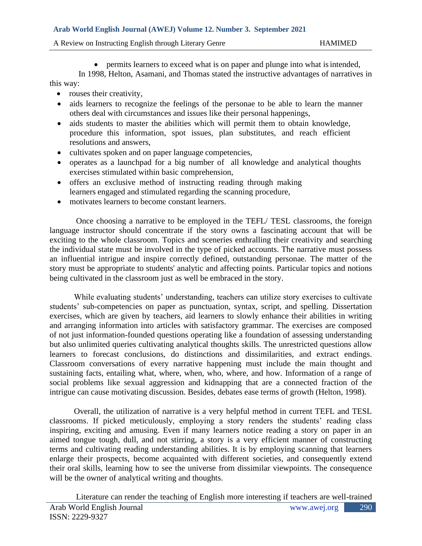A Review on Instructing English through Literary Genre Francisco HAMIMED

• permits learners to exceed what is on paper and plunge into what is intended, In 1998, Helton, Asamani, and Thomas stated the instructive advantages of narratives in this way:

- rouses their creativity,
- aids learners to recognize the feelings of the personae to be able to learn the manner others deal with circumstances and issues like their personal happenings,
- aids students to master the abilities which will permit them to obtain knowledge, procedure this information, spot issues, plan substitutes, and reach efficient resolutions and answers,
- cultivates spoken and on paper language competencies,
- operates as a launchpad for a big number of all knowledge and analytical thoughts exercises stimulated within basic comprehension,
- offers an exclusive method of instructing reading through making learners engaged and stimulated regarding the scanning procedure,
- motivates learners to become constant learners.

Once choosing a narrative to be employed in the TEFL/ TESL classrooms, the foreign language instructor should concentrate if the story owns a fascinating account that will be exciting to the whole classroom. Topics and sceneries enthralling their creativity and searching the individual state must be involved in the type of picked accounts. The narrative must possess an influential intrigue and inspire correctly defined, outstanding personae. The matter of the story must be appropriate to students' analytic and affecting points. Particular topics and notions being cultivated in the classroom just as well be embraced in the story.

While evaluating students' understanding, teachers can utilize story exercises to cultivate students' sub-competencies on paper as punctuation, syntax, script, and spelling. Dissertation exercises, which are given by teachers, aid learners to slowly enhance their abilities in writing and arranging information into articles with satisfactory grammar. The exercises are composed of not just information-founded questions operating like a foundation of assessing understanding but also unlimited queries cultivating analytical thoughts skills. The unrestricted questions allow learners to forecast conclusions, do distinctions and dissimilarities, and extract endings. Classroom conversations of every narrative happening must include the main thought and sustaining facts, entailing what, where, when, who, where, and how. Information of a range of social problems like sexual aggression and kidnapping that are a connected fraction of the intrigue can cause motivating discussion. Besides, debates ease terms of growth (Helton, 1998).

Overall, the utilization of narrative is a very helpful method in current TEFL and TESL classrooms. If picked meticulously, employing a story renders the students' reading class inspiring, exciting and amusing. Even if many learners notice reading a story on paper in an aimed tongue tough, dull, and not stirring, a story is a very efficient manner of constructing terms and cultivating reading understanding abilities. It is by employing scanning that learners enlarge their prospects, become acquainted with different societies, and consequently extend their oral skills, learning how to see the universe from dissimilar viewpoints. The consequence will be the owner of analytical writing and thoughts.

Arab World English Journal www.awej.org ISSN: 2229-9327 290 Literature can render the teaching of English more interesting if teachers are well-trained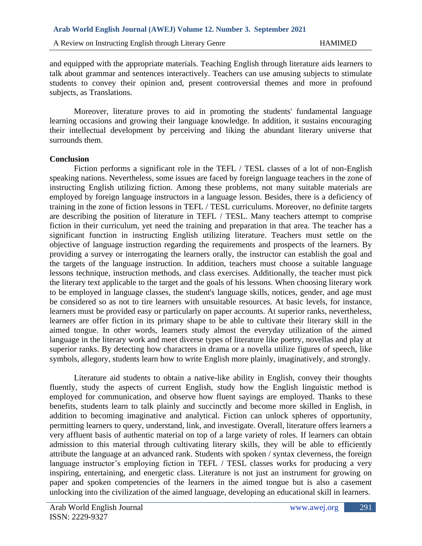and equipped with the appropriate materials. Teaching English through literature aids learners to talk about grammar and sentences interactively. Teachers can use amusing subjects to stimulate students to convey their opinion and, present controversial themes and more in profound subjects, as Translations.

Moreover, literature proves to aid in promoting the students' fundamental language learning occasions and growing their language knowledge. In addition, it sustains encouraging their intellectual development by perceiving and liking the abundant literary universe that surrounds them.

#### **Conclusion**

Fiction performs a significant role in the TEFL / TESL classes of a lot of non-English speaking nations. Nevertheless, some issues are faced by foreign language teachers in the zone of instructing English utilizing fiction. Among these problems, not many suitable materials are employed by foreign language instructors in a language lesson. Besides, there is a deficiency of training in the zone of fiction lessons in TEFL / TESL curriculums. Moreover, no definite targets are describing the position of literature in TEFL / TESL. Many teachers attempt to comprise fiction in their curriculum, yet need the training and preparation in that area. The teacher has a significant function in instructing English utilizing literature. Teachers must settle on the objective of language instruction regarding the requirements and prospects of the learners. By providing a survey or interrogating the learners orally, the instructor can establish the goal and the targets of the language instruction. In addition, teachers must choose a suitable language lessons technique, instruction methods, and class exercises. Additionally, the teacher must pick the literary text applicable to the target and the goals of his lessons. When choosing literary work to be employed in language classes, the student's language skills, notices, gender, and age must be considered so as not to tire learners with unsuitable resources. At basic levels, for instance, learners must be provided easy or particularly on paper accounts. At superior ranks, nevertheless, learners are offer fiction in its primary shape to be able to cultivate their literary skill in the aimed tongue. In other words, learners study almost the everyday utilization of the aimed language in the literary work and meet diverse types of literature like poetry, novellas and play at superior ranks. By detecting how characters in drama or a novella utilize figures of speech, like symbols, allegory, students learn how to write English more plainly, imaginatively, and strongly.

Literature aid students to obtain a native-like ability in English, convey their thoughts fluently, study the aspects of current English, study how the English linguistic method is employed for communication, and observe how fluent sayings are employed. Thanks to these benefits, students learn to talk plainly and succinctly and become more skilled in English, in addition to becoming imaginative and analytical. Fiction can unlock spheres of opportunity, permitting learners to query, understand, link, and investigate. Overall, literature offers learners a very affluent basis of authentic material on top of a large variety of roles. If learners can obtain admission to this material through cultivating literary skills, they will be able to efficiently attribute the language at an advanced rank. Students with spoken / syntax cleverness, the foreign language instructor's employing fiction in TEFL / TESL classes works for producing a very inspiring, entertaining, and energetic class. Literature is not just an instrument for growing on paper and spoken competencies of the learners in the aimed tongue but is also a casement unlocking into the civilization of the aimed language, developing an educational skill in learners.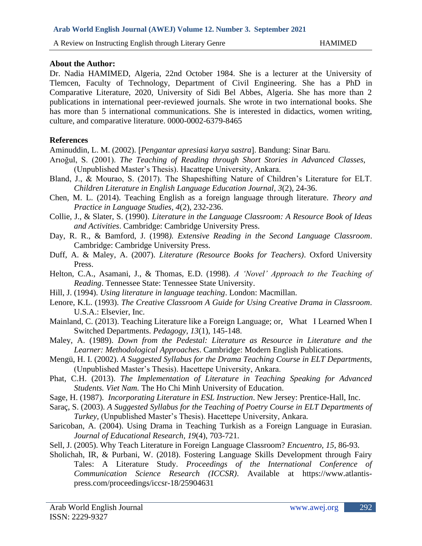#### **About the Author:**

Dr. Nadia HAMIMED, Algeria, 22nd October 1984. She is a lecturer at the University of Tlemcen, Faculty of Technology, Department of Civil Engineering. She has a PhD in Comparative Literature, 2020, University of Sidi Bel Abbes, Algeria. She has more than 2 publications in international peer-reviewed journals. She wrote in two international books. She has more than 5 international communications. She is interested in didactics, women writing, culture, and comparative literature. 0000-0002-6379-8465

## **References**

Aminuddin, L. M. (2002). *Pengantar apresiasi karya sastra*. Bandung: Sinar Baru.

- Arıoğul, S. (2001). *The Teaching of Reading through Short Stories in Advanced Classes,* (Unpublished Master's Thesis). Hacattepe University, Ankara.
- Bland, J., & Mourao, S. (2017). The Shapeshifting Nature of Children's Literature for ELT. *Children Literature in English Language Education Journal, 3*(2), 24-36.
- Chen, M. L. (2014). Teaching English as a foreign language through literature. *Theory and Practice in Language Studies, 4*(2), 232-236.
- Collie, J., & Slater, S. (1990). *Literature in the Language Classroom: A Resource Book of Ideas and Activities*. Cambridge: Cambridge University Press.
- Day, R. R., & Bamford, J. (1998*). Extensive Reading in the Second Language Classroom*. Cambridge: Cambridge University Press.
- Duff, A. & Maley, A. (2007). *Literature (Resource Books for Teachers)*. Oxford University Press.
- Helton, C.A., Asamani, J., & Thomas, E.D. (1998). *A 'Novel' Approach to the Teaching of Reading*. Tennessee State: Tennessee State University.
- Hill, J. (1994). *Using literature in language teaching*. London: Macmillan.
- Lenore, K.L. (1993). *The Creative Classroom A Guide for Using Creative Drama in Classroom*. U.S.A.: Elsevier, Inc.
- Mainland, C. (2013). Teaching Literature like a Foreign Language; or, What I Learned When I Switched Departments. *Pedagogy, 13*(1), 145-148.
- Maley, A. (1989). *Down from the Pedestal: Literature as Resource in Literature and the Learner: Methodological Approaches*. Cambridge: Modern English Publications.
- Mengü, H. I. (2002). *A Suggested Syllabus for the Drama Teaching Course in ELT Departments,* (Unpublished Master's Thesis). Hacettepe University, Ankara.
- Phat, C.H. (2013). *The Implementation of Literature in Teaching Speaking for Advanced Students. Viet Nam.* The Ho Chi Minh University of Education.
- Sage, H. (1987). *Incorporating Literature in ESL Instruction*. New Jersey: Prentice-Hall, Inc.
- Saraç, S. (2003). *A Suggested Syllabus for the Teaching of Poetry Course in ELT Departments of Turkey,* (Unpublished Master's Thesis). Hacettepe University, Ankara.
- Saricoban, A. (2004). Using Drama in Teaching Turkish as a Foreign Language in Eurasian. *Journal of Educational Research, 19*(4), 703-721.
- Sell, J. (2005). Why Teach Literature in Foreign Language Classroom? *Encuentro, 15*, 86-93.
- Sholichah, IR, & Purbani, W. (2018). Fostering Language Skills Development through Fairy Tales: A Literature Study. *Proceedings of the International Conference of Communication Science Research (ICCSR)*. Available at https://www.atlantispress.com/proceedings/iccsr-18/25904631